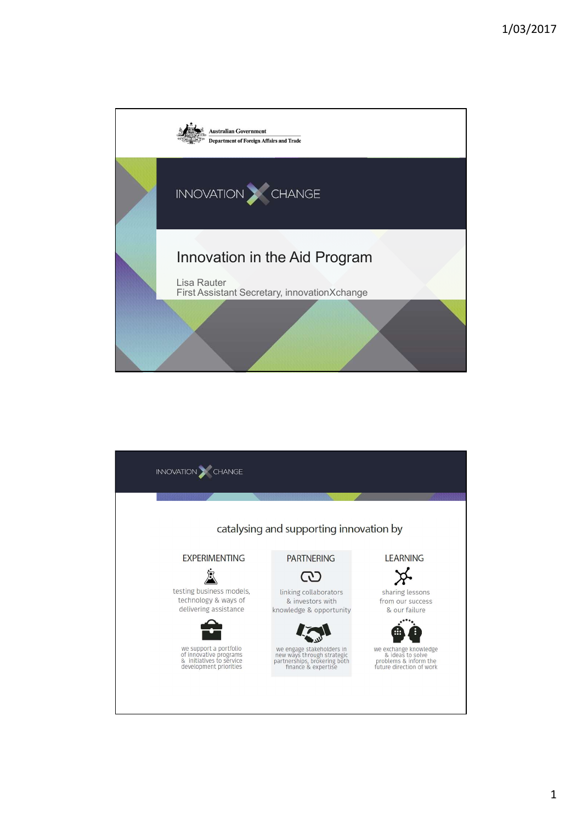

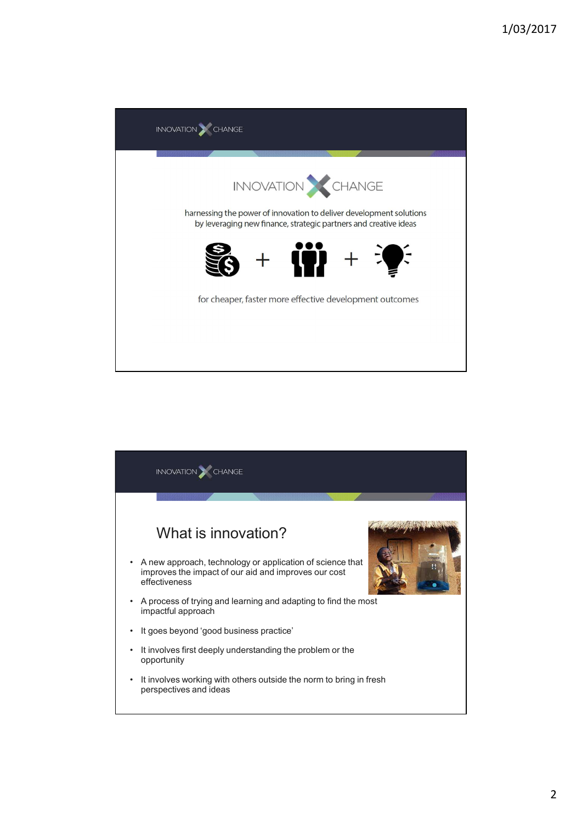

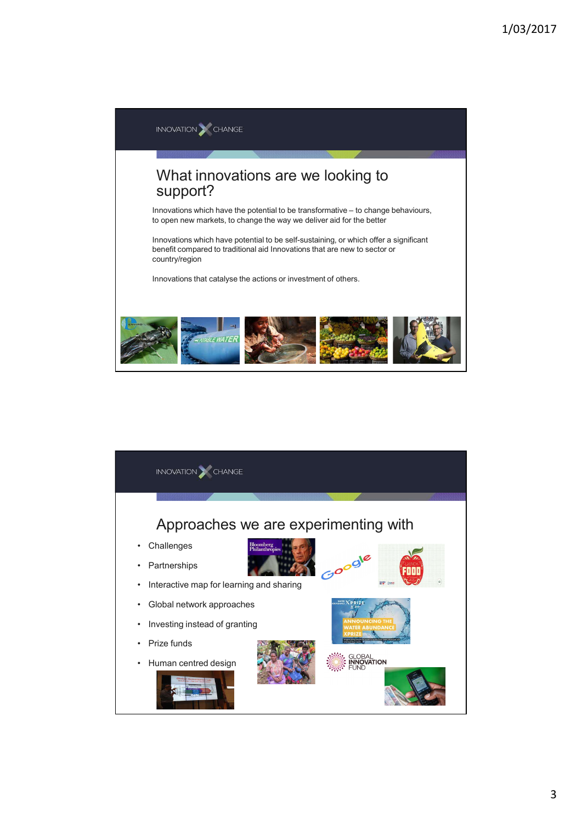

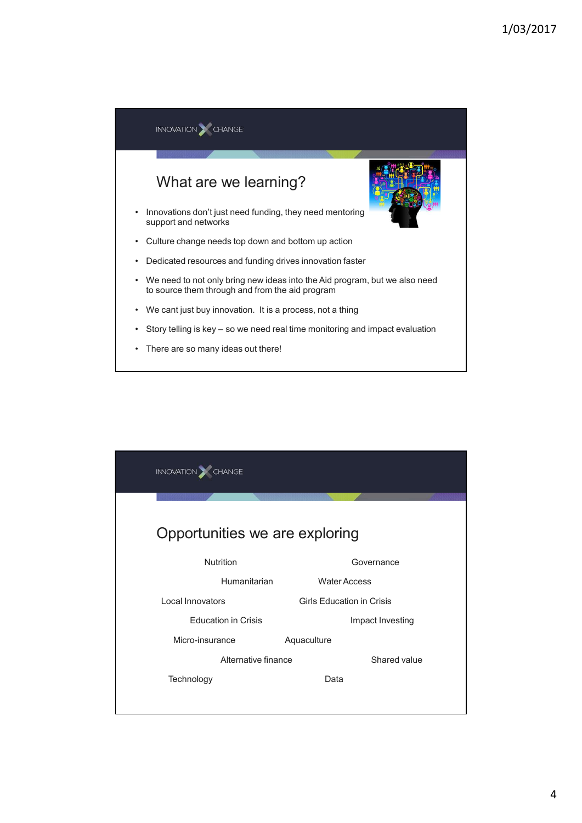

| INVOVATION CHANGE              |                                  |                  |  |
|--------------------------------|----------------------------------|------------------|--|
|                                |                                  |                  |  |
| Opportunities we are exploring |                                  |                  |  |
| Nutrition                      |                                  | Governance       |  |
| Humanitarian                   | <b>Water Access</b>              |                  |  |
| Local Innovators               | <b>Girls Education in Crisis</b> |                  |  |
| <b>Education in Crisis</b>     |                                  | Impact Investing |  |
| Micro-insurance                | Aquaculture                      |                  |  |
| Alternative finance            |                                  | Shared value     |  |
| Technology                     | Data                             |                  |  |
|                                |                                  |                  |  |